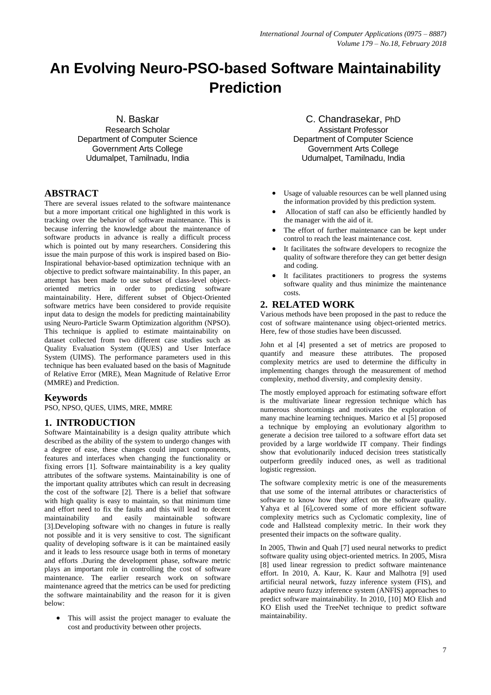# **An Evolving Neuro-PSO-based Software Maintainability Prediction**

N. Baskar

Research Scholar Department of Computer Science Government Arts College Udumalpet, Tamilnadu, India

## **ABSTRACT**

There are several issues related to the software maintenance but a more important critical one highlighted in this work is tracking over the behavior of software maintenance. This is because inferring the knowledge about the maintenance of software products in advance is really a difficult process which is pointed out by many researchers. Considering this issue the main purpose of this work is inspired based on Bio-Inspirational behavior-based optimization technique with an objective to predict software maintainability. In this paper, an attempt has been made to use subset of class-level objectoriented metrics in order to predicting software maintainability. Here, different subset of Object-Oriented software metrics have been considered to provide requisite input data to design the models for predicting maintainability using Neuro-Particle Swarm Optimization algorithm (NPSO). This technique is applied to estimate maintainability on dataset collected from two different case studies such as Quality Evaluation System (QUES) and User Interface System (UIMS). The performance parameters used in this technique has been evaluated based on the basis of Magnitude of Relative Error (MRE), Mean Magnitude of Relative Error (MMRE) and Prediction.

## **Keywords**

PSO, NPSO, QUES, UIMS, MRE, MMRE

## **1. INTRODUCTION**

Software Maintainability is a design quality attribute which described as the ability of the system to undergo changes with a degree of ease, these changes could impact components, features and interfaces when changing the functionality or fixing errors [1]. Software maintainability is a key quality attributes of the software systems. Maintainability is one of the important quality attributes which can result in decreasing the cost of the software [2]. There is a belief that software with high quality is easy to maintain, so that minimum time and effort need to fix the faults and this will lead to decent maintainability and easily maintainable software [3].Developing software with no changes in future is really not possible and it is very sensitive to cost. The significant quality of developing software is it can be maintained easily and it leads to less resource usage both in terms of monetary and efforts .During the development phase, software metric plays an important role in controlling the cost of software maintenance. The earlier research work on software maintenance agreed that the metrics can be used for predicting the software maintainability and the reason for it is given below:

 This will assist the project manager to evaluate the cost and productivity between other projects.

C. Chandrasekar, PhD Assistant Professor Department of Computer Science Government Arts College Udumalpet, Tamilnadu, India

- Usage of valuable resources can be well planned using the information provided by this prediction system.
- Allocation of staff can also be efficiently handled by the manager with the aid of it.
- The effort of further maintenance can be kept under control to reach the least maintenance cost.
- It facilitates the software developers to recognize the quality of software therefore they can get better design and coding.
- It facilitates practitioners to progress the systems software quality and thus minimize the maintenance costs.

## **2. RELATED WORK**

Various methods have been proposed in the past to reduce the cost of software maintenance using object-oriented metrics. Here, few of those studies have been discussed.

John et al [4] presented a set of metrics are proposed to quantify and measure these attributes. The proposed complexity metrics are used to determine the difficulty in implementing changes through the measurement of method complexity, method diversity, and complexity density.

The mostly employed approach for estimating software effort is the multivariate linear regression technique which has numerous shortcomings and motivates the exploration of many machine learning techniques. Marico et al [5] proposed a technique by employing an evolutionary algorithm to generate a decision tree tailored to a software effort data set provided by a large worldwide IT company. Their findings show that evolutionarily induced decision trees statistically outperform greedily induced ones, as well as traditional logistic regression.

The software complexity metric is one of the measurements that use some of the internal attributes or characteristics of software to know how they affect on the software quality. Yahya et al [6],covered some of more efficient software complexity metrics such as Cyclomatic complexity, line of code and Hallstead complexity metric. In their work they presented their impacts on the software quality.

In 2005, Thwin and Quah [7] used neural networks to predict software quality using object-oriented metrics. In 2005, Misra [8] used linear regression to predict software maintenance effort. In 2010, A. Kaur, K. Kaur and Malhotra [9] used artificial neural network, fuzzy inference system (FIS), and adaptive neuro fuzzy inference system (ANFIS) approaches to predict software maintainability. In 2010, [10] MO Elish and KO Elish used the TreeNet technique to predict software maintainability.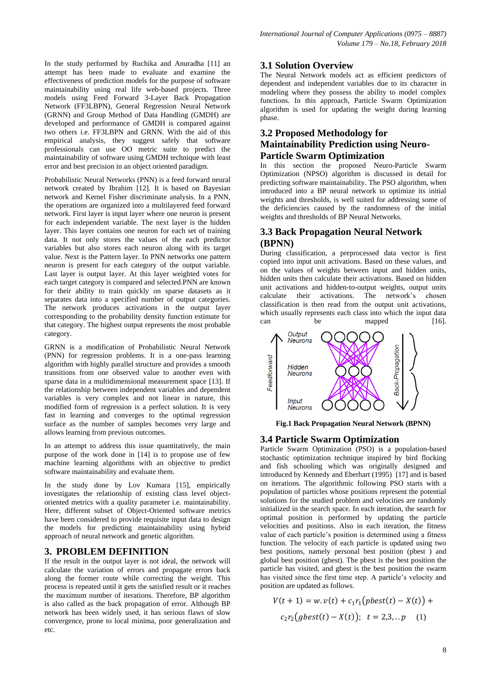In the study performed by Ruchika and Anuradha [11] an attempt has been made to evaluate and examine the effectiveness of prediction models for the purpose of software maintainability using real life web-based projects. Three models using Feed Forward 3-Layer Back Propagation Network (FF3LBPN), General Regression Neural Network (GRNN) and Group Method of Data Handling (GMDH) are developed and performance of GMDH is compared against two others i.e. FF3LBPN and GRNN. With the aid of this empirical analysis, they suggest safely that software professionals can use OO metric suite to predict the maintainability of software using GMDH technique with least error and best precision in an object oriented paradigm.

Probabilistic Neural Networks (PNN) is a feed forward neural network created by Ibrahim [12]. It is based on Bayesian network and Kernel Fisher discriminate analysis. In a PNN, the operations are organized into a multilayered feed forward network. First layer is input layer where one neuron is present for each independent variable. The next layer is the hidden layer. This layer contains one neuron for each set of training data. It not only stores the values of the each predictor variables but also stores each neuron along with its target value. Next is the Pattern layer. In PNN networks one pattern neuron is present for each category of the output variable. Last layer is output layer. At this layer weighted votes for each target category is compared and selected.PNN are known for their ability to train quickly on sparse datasets as it separates data into a specified number of output categories. The network produces activations in the output layer corresponding to the probability density function estimate for that category. The highest output represents the most probable category.

GRNN is a modification of Probabilistic Neural Network (PNN) for regression problems. It is a one-pass learning algorithm with highly parallel structure and provides a smooth transitions from one observed value to another even with sparse data in a multidimensional measurement space [13]. If the relationship between independent variables and dependent variables is very complex and not linear in nature, this modified form of regression is a perfect solution. It is very fast in learning and converges to the optimal regression surface as the number of samples becomes very large and allows learning from previous outcomes.

In an attempt to address this issue quantitatively, the main purpose of the work done in [14] is to propose use of few machine learning algorithms with an objective to predict software maintainability and evaluate them.

In the study done by Lov Kumara [15], empirically investigates the relationship of existing class level objectoriented metrics with a quality parameter i.e. maintainability. Here, different subset of Object-Oriented software metrics have been considered to provide requisite input data to design the models for predicting maintainability using hybrid approach of neural network and genetic algorithm.

# **3. PROBLEM DEFINITION**

If the result in the output layer is not ideal, the network will calculate the variation of errors and propagate errors back along the former route while correcting the weight. This process is repeated until it gets the satisfied result or it reaches the maximum number of iterations. Therefore, BP algorithm is also called as the back propagation of error. Although BP network has been widely used, it has serious flaws of slow convergence, prone to local minima, poor generalization and etc.

## **3.1 Solution Overview**

The Neural Network models act as efficient predictors of dependent and independent variables due to its character in modeling where they possess the ability to model complex functions. In this approach, Particle Swarm Optimization algorithm is used for updating the weight during learning phase.

# **3.2 Proposed Methodology for Maintainability Prediction using Neuro-Particle Swarm Optimization**

In this section the proposed Neuro-Particle Swarm Optimization (NPSO) algorithm is discussed in detail for predicting software maintainability. The PSO algorithm, when introduced into a BP neural network to optimize its initial weights and thresholds, is well suited for addressing some of the deficiencies caused by the randomness of the initial weights and thresholds of BP Neural Networks.

# **3.3 Back Propagation Neural Network (BPNN)**

During classification, a preprocessed data vector is first copied into input unit activations. Based on these values, and on the values of weights between input and hidden units, hidden units then calculate their activations. Based on hidden unit activations and hidden-to-output weights, output units calculate their activations. The network"s chosen classification is then read from the output unit activations, which usually represents each class into which the input data can be mapped [16].



**Fig.1 Back Propagation Neural Network (BPNN)**

# **3.4 Particle Swarm Optimization**

Particle Swarm Optimization (PSO) is a population-based stochastic optimization technique inspired by bird flocking and fish schooling which was originally designed and introduced by Kennedy and Eberhart (1995) [17] and is based on iterations. The algorithmic following PSO starts with a population of particles whose positions represent the potential solutions for the studied problem and velocities are randomly initialized in the search space. In each iteration, the search for optimal position is performed by updating the particle velocities and positions. Also in each iteration, the fitness value of each particle"s position is determined using a fitness function. The velocity of each particle is updated using two best positions, namely personal best position (pbest ) and global best position (gbest). The pbest is the best position the particle has visited, and gbest is the best position the swarm has visited since the first time step. A particle's velocity and position are updated as follows.

$$
V(t + 1) = w \cdot v(t) + c_1 r_1 \left( pbest(t) - X(t) \right) +
$$
  

$$
c_2 r_2 \left( gbest(t) - X(t) \right); \quad t = 2, 3,..p \quad (1)
$$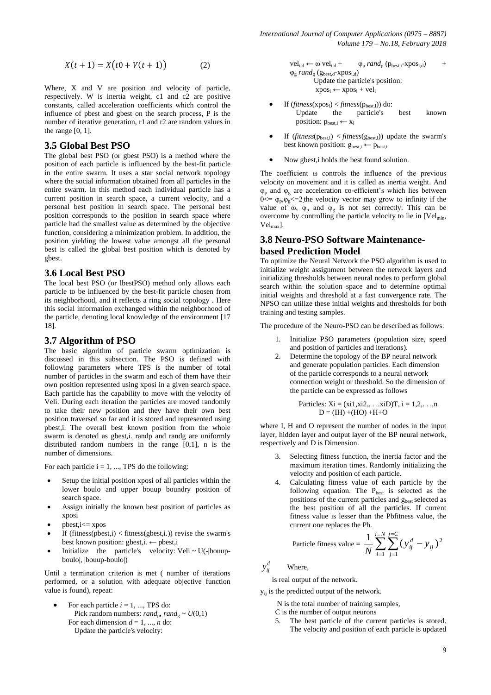$$
X(t + 1) = X(t0 + V(t + 1))
$$
 (2)

Where, X and V are position and velocity of particle, respectively. W is inertia weight, c1 and c2 are positive constants, called acceleration coefficients which control the influence of pbest and gbest on the search process, P is the number of iterative generation, r1 and r2 are random values in the range  $[0, 1]$ .

#### **3.5 Global Best PSO**

The global best PSO (or gbest PSO) is a method where the position of each particle is influenced by the best-fit particle in the entire swarm. It uses a star social network topology where the social information obtained from all particles in the entire swarm. In this method each individual particle has a current position in search space, a current velocity, and a personal best position in search space. The personal best position corresponds to the position in search space where particle had the smallest value as determined by the objective function, considering a minimization problem. In addition, the position yielding the lowest value amongst all the personal best is called the global best position which is denoted by gbest.

#### **3.6 Local Best PSO**

The local best PSO (or lbestPSO) method only allows each particle to be influenced by the best-fit particle chosen from its neighborhood, and it reflects a ring social topology . Here this social information exchanged within the neighborhood of the particle, denoting local knowledge of the environment [17 18].

#### **3.7 Algorithm of PSO**

The basic algorithm of particle swarm optimization is discussed in this subsection. The PSO is defined with following parameters where TPS is the number of total number of particles in the swarm and each of them have their own position represented using xposi in a given search space. Each particle has the capability to move with the velocity of Veli. During each iteration the particles are moved randomly to take their new position and they have their own best position traversed so far and it is stored and represented using pbest,i. The overall best known position from the whole swarm is denoted as gbest,i. randp and randg are uniformly distributed random numbers in the range [0,1], n is the number of dimensions.

For each particle  $i = 1, ..., TPS$  do the following:

- Setup the initial position xposi of all particles within the lower boulo and upper bouup boundry position of search space.
- Assign initially the known best position of particles as xposi
- pbest,i<= xpos
- If (fitness( $pbest,i$ ) < fitness( $qbest,i$ .)) revise the swarm's best known position: gbest,i. ← pbest,i
- Initialize the particle's velocity: Veli  $\sim U(-1)$ bouupboulo|, |bouup-boulo|)

Until a termination criterion is met ( number of iterations performed, or a solution with adequate objective function value is found), repeat:

For each particle  $i = 1, \dots$ , TPS do: Pick random numbers: *rand*<sub>p</sub>, *rand*<sub>g</sub> ~  $U(0,1)$ For each dimension  $d = 1, ..., n$  do: Update the particle's velocity:

 $vel_{i,d} \leftarrow \omega vel_{i,d} + \varphi_p \, rand_p \, (p_{best,i}-xpos_{i,d}) +$  $\varphi_{\rm g}$  *rand*<sub>g</sub> ( $g_{\rm best,d}$ -xpos<sub>i,d</sub>) Update the particle's position:  $xpos_i \leftarrow xpos_i + vel_i$ 

- If  $(fitness(xpos_i) < fitness(p_{best,i}))$  do: Update the particle's best known position:  $p_{best,i} \leftarrow x_i$
- If  $(\text{fitness}(p_{\text{best},i}) < \text{fitness}(g_{\text{best},i})$  update the swarm's best known position:  $g_{best,i} \leftarrow p_{best,i}$
- Now gbest,i holds the best found solution.

The coefficient ω controls the influence of the previous velocity on movement and it is called as inertia weight. And  $\varphi_p$  and  $\varphi_g$  are acceleration co-efficient's which lies between  $0 \leq \varphi_p, \varphi_g \leq 2$  the velocity vector may grow to infinity if the value of  $\omega$ ,  $\varphi_p$  and  $\varphi_g$  is not set correctly. This can be overcome by controlling the particle velocity to lie in  $[Vel<sub>min</sub>]$ , Velmax].

## **3.8 Neuro-PSO Software Maintenancebased Prediction Model**

To optimize the Neural Network the PSO algorithm is used to initialize weight assignment between the network layers and initializing thresholds between neural nodes to perform global search within the solution space and to determine optimal initial weights and threshold at a fast convergence rate. The NPSO can utilize these initial weights and thresholds for both training and testing samples.

The procedure of the Neuro-PSO can be described as follows:

- 1. Initialize PSO parameters (population size, speed and position of particles and iterations).
- 2. Determine the topology of the BP neural network and generate population particles. Each dimension of the particle corresponds to a neural network connection weight or threshold. So the dimension of the particle can be expressed as follows

Particles: 
$$
Xi = (xi1, xi2, \ldots, xiD)T, i = 1, 2, \ldots, n
$$

\n $D = (IH) + (HO) + H + O$ 

where I, H and O represent the number of nodes in the input layer, hidden layer and output layer of the BP neural network, respectively and D is Dimension.

- 3. Selecting fitness function, the inertia factor and the maximum iteration times. Randomly initializing the velocity and position of each particle.
- 4. Calculating fitness value of each particle by the following equation. The  $P_{best}$  is selected as the positions of the current particles and g<sub>best</sub> selected as the best position of all the particles. If current fitness value is lesser than the Pbfitness value, the current one replaces the Pb.

$$
\text{Particle fitness value} = \frac{1}{N} \sum_{i=1}^{i=N} \sum_{j=1}^{j=C} \left( y_{ij}^d - y_{ij} \right)^2
$$

 $y_{ii}^d$ *ij y* Where,

is real output of the network.

 $y_{ii}$  is the predicted output of the network.

N is the total number of training samples,

C is the number of output neurons

5. The best particle of the current particles is stored. The velocity and position of each particle is updated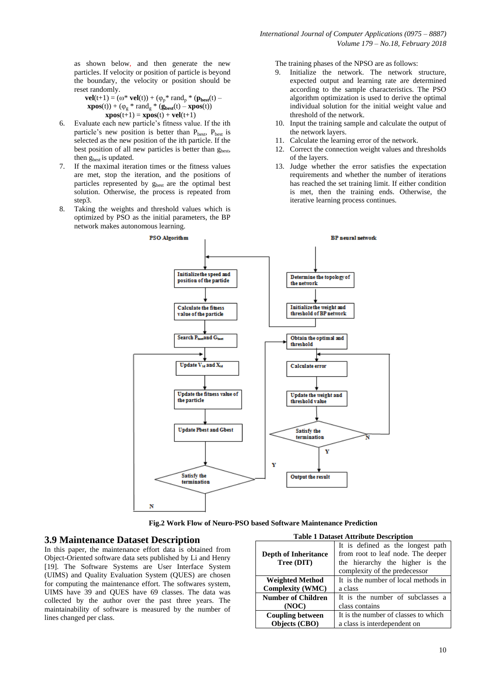as shown below, and then generate the new particles. If velocity or position of particle is beyond the boundary, the velocity or position should be reset randomly.

$$
\mathbf{vel}(t+1) = (\omega^* \mathbf{vel}(t)) + (\varphi_p^* \mathbf{rand}_p^* (\mathbf{p}_{\text{best}}(t) - \mathbf{xpos}(t)) + (\varphi_g^* \mathbf{rand}_g^* (\mathbf{g}_{\text{best}}(t) - \mathbf{xpos}(t)) - \mathbf{xpos}(t+1)) = \mathbf{xpos}(t) + \mathbf{vel}(t+1)
$$

- 6. Evaluate each new particle"s fitness value. If the ith particle's new position is better than  $P_{best}$ ,  $P_{best}$  is selected as the new position of the ith particle. If the best position of all new particles is better than  $g_{best}$ , then  $g_{best}$  is updated.
- 7. If the maximal iteration times or the fitness values are met, stop the iteration, and the positions of particles represented by g<sub>best</sub> are the optimal best solution. Otherwise, the process is repeated from step<sub>3</sub>.
- 8. Taking the weights and threshold values which is optimized by PSO as the initial parameters, the BP network makes autonomous learning.

The training phases of the NPSO are as follows:

- 9. Initialize the network. The network structure, expected output and learning rate are determined according to the sample characteristics. The PSO algorithm optimization is used to derive the optimal individual solution for the initial weight value and threshold of the network.
- 10. Input the training sample and calculate the output of the network layers.
- 11. Calculate the learning error of the network.
- 12. Correct the connection weight values and thresholds of the layers.
- 13. Judge whether the error satisfies the expectation requirements and whether the number of iterations has reached the set training limit. If either condition is met, then the training ends. Otherwise, the iterative learning process continues.



 **Fig.2 Work Flow of Neuro-PSO based Software Maintenance Prediction**

#### **3.9 Maintenance Dataset Description**

In this paper, the maintenance effort data is obtained from Object-Oriented software data sets published by Li and Henry [19]. The Software Systems are User Interface System (UIMS) and Quality Evaluation System (QUES) are chosen for computing the maintenance effort. The softwares system, UIMS have 39 and QUES have 69 classes. The data was collected by the author over the past three years. The maintainability of software is measured by the number of lines changed per class.

| <b>Table 1 Dataset Attribute Description</b>                   |                                                                                                                                             |  |  |  |  |  |  |
|----------------------------------------------------------------|---------------------------------------------------------------------------------------------------------------------------------------------|--|--|--|--|--|--|
| <b>Depth of Inheritance</b><br>Tree (DIT)                      | It is defined as the longest path<br>from root to leaf node. The deeper<br>the hierarchy the higher is the<br>complexity of the predecessor |  |  |  |  |  |  |
| It is the number of local methods in<br><b>Weighted Method</b> |                                                                                                                                             |  |  |  |  |  |  |
| <b>Complexity (WMC)</b>                                        | a class                                                                                                                                     |  |  |  |  |  |  |
| <b>Number of Children</b>                                      | It is the number of subclasses a                                                                                                            |  |  |  |  |  |  |
| (NOC)                                                          | class contains                                                                                                                              |  |  |  |  |  |  |
| <b>Coupling between</b>                                        | It is the number of classes to which                                                                                                        |  |  |  |  |  |  |
| Objects (CBO)<br>a class is interdependent on                  |                                                                                                                                             |  |  |  |  |  |  |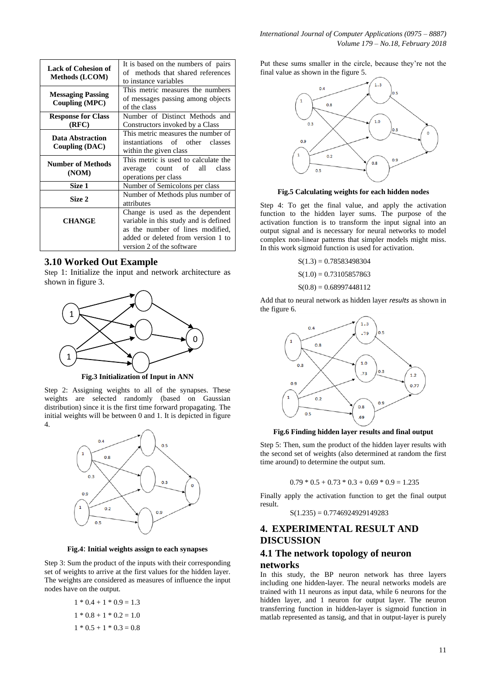| <b>Lack of Cohesion of</b><br><b>Methods (LCOM)</b> | It is based on the numbers of pairs<br>of methods that shared references<br>to instance variables                                                  |  |  |  |  |  |
|-----------------------------------------------------|----------------------------------------------------------------------------------------------------------------------------------------------------|--|--|--|--|--|
| <b>Messaging Passing</b><br><b>Coupling (MPC)</b>   | This metric measures the numbers<br>of messages passing among objects<br>of the class                                                              |  |  |  |  |  |
| <b>Response for Class</b><br>(RFC)                  | Number of Distinct Methods and<br>Constructors invoked by a Class                                                                                  |  |  |  |  |  |
| Data Abstraction<br>Coupling (DAC)                  | This metric measures the number of<br>instantiations of other classes<br>within the given class                                                    |  |  |  |  |  |
| <b>Number of Methods</b><br>(NOM)                   | This metric is used to calculate the<br>average count of all<br>class<br>operations per class                                                      |  |  |  |  |  |
| Size 1                                              | Number of Semicolons per class                                                                                                                     |  |  |  |  |  |
| Size 2                                              | Number of Methods plus number of<br>attributes                                                                                                     |  |  |  |  |  |
| <b>CHANGE</b>                                       | Change is used as the dependent<br>variable in this study and is defined<br>as the number of lines modified,<br>added or deleted from version 1 to |  |  |  |  |  |
|                                                     | version 2 of the software                                                                                                                          |  |  |  |  |  |

#### **3.10 Worked Out Example**

Step 1: Initialize the input and network architecture as shown in figure 3.



Step 2: Assigning weights to all of the synapses. These weights are selected randomly (based on Gaussian distribution) since it is the first time forward propagating. The initial weights will be between 0 and 1. It is depicted in figure 4.



**Fig.4**: **Initial weights assign to each synapses**

Step 3: Sum the product of the inputs with their corresponding set of weights to arrive at the first values for the hidden layer. The weights are considered as measures of influence the input nodes have on the output.

$$
1 * 0.4 + 1 * 0.9 = 1.3
$$
  

$$
1 * 0.8 + 1 * 0.2 = 1.0
$$
  

$$
1 * 0.5 + 1 * 0.3 = 0.8
$$

Put these sums smaller in the circle, because they"re not the final value as shown in the figure 5.



**Fig.5 Calculating weights for each hidden nodes**

Step 4: To get the final value, and apply the [activation](https://en.wikipedia.org/wiki/Activation_function)  [function](https://en.wikipedia.org/wiki/Activation_function) to the hidden layer sums. The purpose of the activation function is to transform the input signal into an output signal and is necessary for neural networks to model complex non-linear patterns that simpler models might miss. In this work sigmoid function is used for activation.

 $S(1.3) = 0.78583498304$ 

 $S(1.0) = 0.73105857863$ 

 $S(0.8) = 0.68997448112$ 

Add that to neural network as hidden layer *results* as shown in the figure 6.



**Fig.6 Finding hidden layer results and final output**

Step 5: Then, sum the product of the hidden layer results with the second set of weights (also determined at random the first time around) to determine the output sum.

$$
0.79 * 0.5 + 0.73 * 0.3 + 0.69 * 0.9 = 1.235
$$

Finally apply the activation function to get the final output result.

 $S(1.235) = 0.7746924929149283$ 

#### **4. EXPERIMENTAL RESULT AND DISCUSSION**

#### **4.1 The network topology of neuron networks**

In this study, the BP neuron network has three layers including one hidden-layer. The neural networks models are trained with 11 neurons as input data, while 6 neurons for the hidden layer, and 1 neuron for output layer. The neuron transferring function in hidden-layer is sigmoid function in matlab represented as tansig, and that in output-layer is purely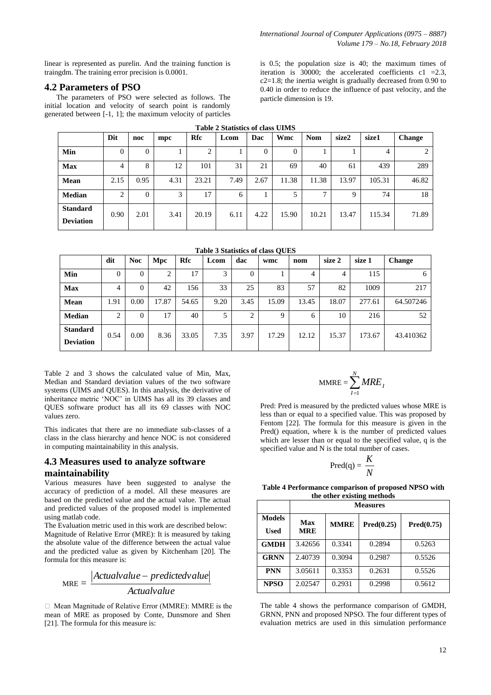linear is represented as purelin. And the training function is traingdm. The training error precision is 0.0001.

### **4.2 Parameters of PSO**

The parameters of PSO were selected as follows. The initial location and velocity of search point is randomly generated between [-1, 1]; the maximum velocity of particles is 0.5; the population size is 40; the maximum times of iteration is 30000; the accelerated coefficients  $c1 = 2.3$ ,  $c2=1.8$ ; the inertia weight is gradually decreased from 0.90 to 0.40 in order to reduce the influence of past velocity, and the particle dimension is 19.

| <b>Table 2 Statistics of class UIMS</b> |          |                |      |       |      |      |          |              |       |        |        |
|-----------------------------------------|----------|----------------|------|-------|------|------|----------|--------------|-------|--------|--------|
|                                         | Dit      | noc            | mpc  | Rfc   | Lcom | Dac  | Wmc      | <b>Nom</b>   | size2 | size1  | Change |
| Min                                     | $\Omega$ | $\overline{0}$ |      | 2     |      | 0    | $\Omega$ |              |       | 4      | 2      |
| <b>Max</b>                              | 4        | 8              | 12   | 101   | 31   | 21   | 69       | 40           | 61    | 439    | 289    |
| Mean                                    | 2.15     | 0.95           | 4.31 | 23.21 | 7.49 | 2.67 | 11.38    | 11.38        | 13.97 | 105.31 | 46.82  |
| <b>Median</b>                           | 2        | $\Omega$       | 3    | 17    | 6    |      |          | $\mathbf{r}$ | Q     | 74     | 18     |
| <b>Standard</b><br><b>Deviation</b>     | 0.90     | 2.01           | 3.41 | 20.19 | 6.11 | 4.22 | 15.90    | 10.21        | 13.47 | 115.34 | 71.89  |

**Table 3 Statistics of class QUES**

|                                     | dit  | <b>Noc</b> | Mpc    | Rfc   | Lcom | dac  | wmc   | nom   | size 2 | size 1 | <b>Change</b> |
|-------------------------------------|------|------------|--------|-------|------|------|-------|-------|--------|--------|---------------|
| Min                                 | 0    | 0          | ◠<br>∠ | 17    | 3    | 0    |       | 4     | 4      | 115    | 6             |
| <b>Max</b>                          | 4    | $\Omega$   | 42     | 156   | 33   | 25   | 83    | 57    | 82     | 1009   | 217           |
| Mean                                | 1.91 | 0.00       | 17.87  | 54.65 | 9.20 | 3.45 | 15.09 | 13.45 | 18.07  | 277.61 | 64.507246     |
| <b>Median</b>                       | ↑    | $\theta$   | 17     | 40    |      | ↑    | 9     | 6     | 10     | 216    | 52            |
| <b>Standard</b><br><b>Deviation</b> | 0.54 | 0.00       | 8.36   | 33.05 | 7.35 | 3.97 | 17.29 | 12.12 | 15.37  | 173.67 | 43.410362     |

Table 2 and 3 shows the calculated value of Min, Max, Median and Standard deviation values of the two software systems (UIMS and QUES). In this analysis, the derivative of inheritance metric "NOC" in UIMS has all its 39 classes and QUES software product has all its 69 classes with NOC values zero.

This indicates that there are no immediate sub-classes of a class in the class hierarchy and hence NOC is not considered in computing maintainability in this analysis.

# **4.3 Measures used to analyze software maintainability**

Various measures have been suggested to analyse the accuracy of prediction of a model. All these measures are based on the predicted value and the actual value. The actual and predicted values of the proposed model is implemented using matlab code.

The Evaluation metric used in this work are described below: Magnitude of Relative Error (MRE): It is measured by taking the absolute value of the difference between the actual value and the predicted value as given by Kitchenham [20]. The formula for this measure is:

$$
MRE = \frac{|Actualvalue - predicted value|}{Actual value}
$$

 $\Box$  Mean Magnitude of Relative Error (MMRE): MMRE is the mean of MRE as proposed by Conte, Dunsmore and Shen [21]. The formula for this measure is:

$$
MMRE = \sum_{I=1}^{N} MRE_I
$$

Pred: Pred is measured by the predicted values whose MRE is less than or equal to a specified value. This was proposed by Fentom [22]. The formula for this measure is given in the Pred() equation, where k is the number of predicted values which are lesser than or equal to the specified value, q is the specified value and N is the total number of cases.

$$
Pred(q) = \frac{K}{N}
$$

**Table 4 Performance comparison of proposed NPSO with the other existing methods**

|                              | <b>Measures</b>   |             |            |            |  |  |  |  |  |  |
|------------------------------|-------------------|-------------|------------|------------|--|--|--|--|--|--|
| <b>Models</b><br><b>Used</b> | Max<br><b>MRE</b> | <b>MMRE</b> | Pred(0.25) | Pred(0.75) |  |  |  |  |  |  |
| <b>GMDH</b>                  | 3.42656           | 0.3341      | 0.2894     | 0.5263     |  |  |  |  |  |  |
| <b>GRNN</b>                  | 2.40739           | 0.3094      | 0.2987     | 0.5526     |  |  |  |  |  |  |
| <b>PNN</b>                   | 3.05611           | 0.3353      | 0.2631     | 0.5526     |  |  |  |  |  |  |
| <b>NPSO</b>                  | 2.02547           | 0.2931      | 0.2998     | 0.5612     |  |  |  |  |  |  |

The table 4 shows the performance comparison of GMDH, GRNN, PNN and proposed NPSO. The four different types of evaluation metrics are used in this simulation performance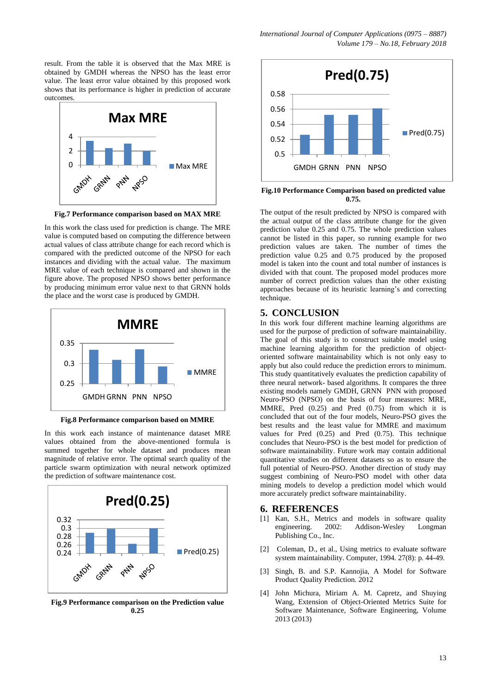result. From the table it is observed that the Max MRE is obtained by GMDH whereas the NPSO has the least error value. The least error value obtained by this proposed work shows that its performance is higher in prediction of accurate outcomes.



**Fig.7 Performance comparison based on MAX MRE**

In this work the class used for prediction is change. The MRE value is computed based on computing the difference between actual values of class attribute change for each record which is compared with the predicted outcome of the NPSO for each instances and dividing with the actual value. The maximum MRE value of each technique is compared and shown in the figure above. The proposed NPSO shows better performance by producing minimum error value next to that GRNN holds the place and the worst case is produced by GMDH.



**Fig.8 Performance comparison based on MMRE**

In this work each instance of maintenance dataset MRE values obtained from the above-mentioned formula is summed together for whole dataset and produces mean magnitude of relative error. The optimal search quality of the particle swarm optimization with neural network optimized the prediction of software maintenance cost.



**Fig.9 Performance comparison on the Prediction value 0.25**



**Fig.10 Performance Comparison based on predicted value 0.75.**

The output of the result predicted by NPSO is compared with the actual output of the class attribute change for the given prediction value 0.25 and 0.75. The whole prediction values cannot be listed in this paper, so running example for two prediction values are taken. The number of times the prediction value 0.25 and 0.75 produced by the proposed model is taken into the count and total number of instances is divided with that count. The proposed model produces more number of correct prediction values than the other existing approaches because of its heuristic learning"s and correcting technique.

## **5. CONCLUSION**

In this work four different machine learning algorithms are used for the purpose of prediction of software maintainability. The goal of this study is to construct suitable model using machine learning algorithm for the prediction of objectoriented software maintainability which is not only easy to apply but also could reduce the prediction errors to minimum. This study quantitatively evaluates the prediction capability of three neural network- based algorithms. It compares the three existing models namely GMDH, GRNN PNN with proposed Neuro-PSO (NPSO) on the basis of four measures: MRE, MMRE, Pred (0.25) and Pred (0.75) from which it is concluded that out of the four models, Neuro-PSO gives the best results and the least value for MMRE and maximum values for Pred (0.25) and Pred (0.75). This technique concludes that Neuro-PSO is the best model for prediction of software maintainability. Future work may contain additional quantitative studies on different datasets so as to ensure the full potential of Neuro-PSO. Another direction of study may suggest combining of Neuro-PSO model with other data mining models to develop a prediction model which would more accurately predict software maintainability.

#### **6. REFERENCES**

- [1] Kan, S.H., Metrics and models in software quality engineering. 2002: Addison-Wesley Longman Publishing Co., Inc.
- [2] Coleman, D., et al., Using metrics to evaluate software system maintainability. Computer, 1994. 27(8): p. 44-49.
- [3] Singh, B. and S.P. Kannojia, A Model for Software Product Quality Prediction. 2012
- [4] John Michura, Miriam A. M. Capretz, and Shuying Wang, Extension of Object-Oriented Metrics Suite for Software Maintenance, Software Engineering, Volume 2013 (2013)